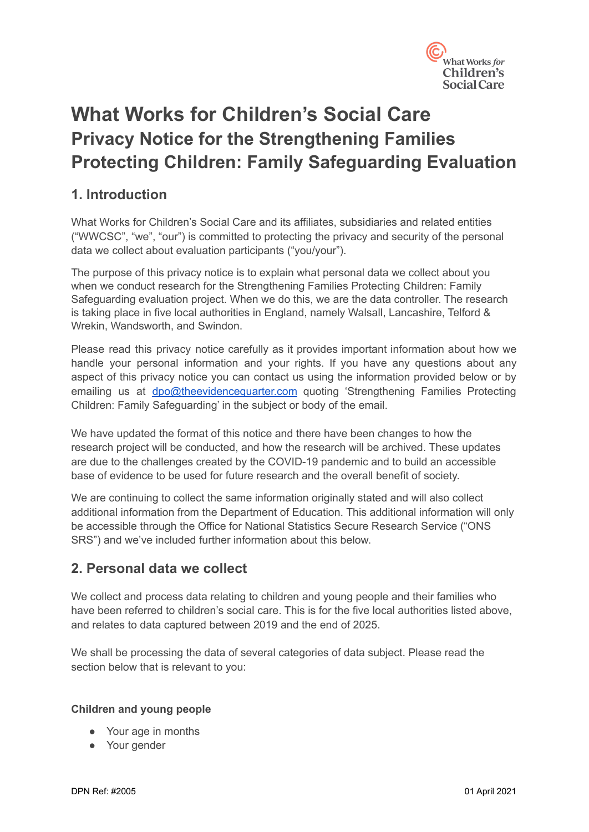

# **What Works for Children's Social Care Privacy Notice for the Strengthening Families Protecting Children: Family Safeguarding Evaluation**

# **1. Introduction**

What Works for Children's Social Care and its affiliates, subsidiaries and related entities ("WWCSC", "we", "our") is committed to protecting the privacy and security of the personal data we collect about evaluation participants ("you/your").

The purpose of this privacy notice is to explain what personal data we collect about you when we conduct research for the Strengthening Families Protecting Children: Family Safeguarding evaluation project. When we do this, we are the data controller. The research is taking place in five local authorities in England, namely Walsall, Lancashire, Telford & Wrekin, Wandsworth, and Swindon.

Please read this privacy notice carefully as it provides important information about how we handle your personal information and your rights. If you have any questions about any aspect of this privacy notice you can contact us using the information provided below or by emailing us at [dpo@theevidencequarter.com](mailto:dpo@theevidencequarter.com) quoting 'Strengthening Families Protecting Children: Family Safeguarding' in the subject or body of the email.

We have updated the format of this notice and there have been changes to how the research project will be conducted, and how the research will be archived. These updates are due to the challenges created by the COVID-19 pandemic and to build an accessible base of evidence to be used for future research and the overall benefit of society.

We are continuing to collect the same information originally stated and will also collect additional information from the Department of Education. This additional information will only be accessible through the Office for National Statistics Secure Research Service ("ONS SRS") and we've included further information about this below.

# **2. Personal data we collect**

We collect and process data relating to children and young people and their families who have been referred to children's social care. This is for the five local authorities listed above, and relates to data captured between 2019 and the end of 2025.

We shall be processing the data of several categories of data subject. Please read the section below that is relevant to you:

#### **Children and young people**

- Your age in months
- Your gender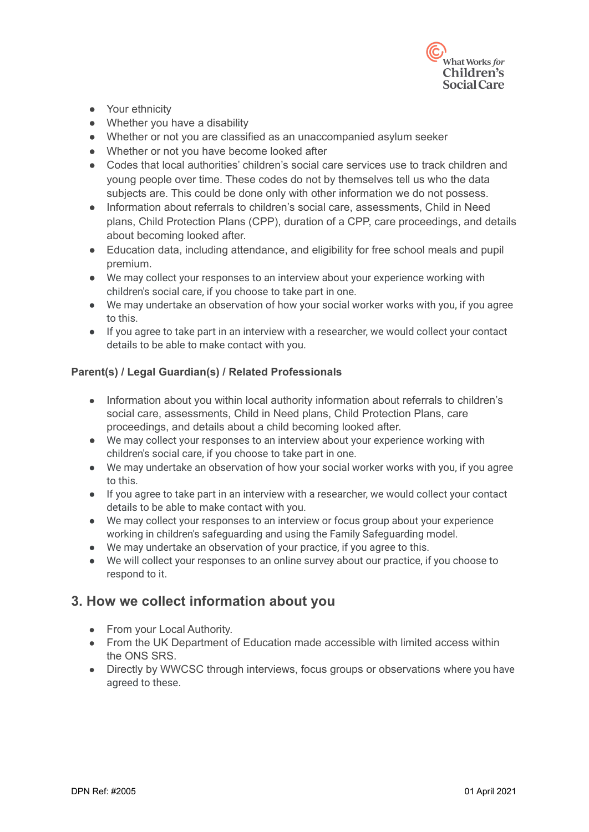

- Your ethnicity
- Whether you have a disability
- Whether or not you are classified as an unaccompanied asylum seeker
- Whether or not you have become looked after
- Codes that local authorities' children's social care services use to track children and young people over time. These codes do not by themselves tell us who the data subjects are. This could be done only with other information we do not possess.
- Information about referrals to children's social care, assessments, Child in Need plans, Child Protection Plans (CPP), duration of a CPP, care proceedings, and details about becoming looked after.
- Education data, including attendance, and eligibility for free school meals and pupil premium.
- We may collect your responses to an interview about your experience working with children's social care, if you choose to take part in one.
- We may undertake an observation of how your social worker works with you, if you agree to this.
- If you agree to take part in an interview with a researcher, we would collect your contact details to be able to make contact with you.

#### **Parent(s) / Legal Guardian(s) / Related Professionals**

- Information about you within local authority information about referrals to children's social care, assessments, Child in Need plans, Child Protection Plans, care proceedings, and details about a child becoming looked after.
- We may collect your responses to an interview about your experience working with children's social care, if you choose to take part in one.
- We may undertake an observation of how your social worker works with you, if you agree to this.
- If you agree to take part in an interview with a researcher, we would collect your contact details to be able to make contact with you.
- We may collect your responses to an interview or focus group about your experience working in children's safeguarding and using the Family Safeguarding model.
- We may undertake an observation of your practice, if you agree to this.
- We will collect your responses to an online survey about our practice, if you choose to respond to it.

# **3. How we collect information about you**

- From your Local Authority.
- From the UK Department of Education made accessible with limited access within the ONS SRS.
- Directly by WWCSC through interviews, focus groups or observations where you have agreed to these.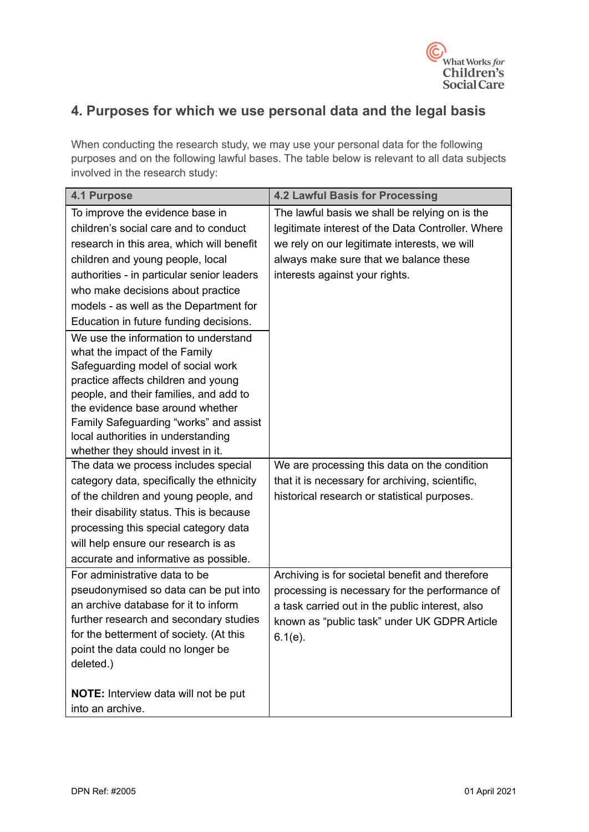

# **4. Purposes for which we use personal data and the legal basis**

When conducting the research study, we may use your personal data for the following purposes and on the following lawful bases. The table below is relevant to all data subjects involved in the research study:

| <b>4.1 Purpose</b>                          | <b>4.2 Lawful Basis for Processing</b>            |
|---------------------------------------------|---------------------------------------------------|
| To improve the evidence base in             | The lawful basis we shall be relying on is the    |
| children's social care and to conduct       | legitimate interest of the Data Controller. Where |
| research in this area, which will benefit   | we rely on our legitimate interests, we will      |
| children and young people, local            | always make sure that we balance these            |
| authorities - in particular senior leaders  | interests against your rights.                    |
| who make decisions about practice           |                                                   |
| models - as well as the Department for      |                                                   |
| Education in future funding decisions.      |                                                   |
| We use the information to understand        |                                                   |
| what the impact of the Family               |                                                   |
| Safeguarding model of social work           |                                                   |
| practice affects children and young         |                                                   |
| people, and their families, and add to      |                                                   |
| the evidence base around whether            |                                                   |
| Family Safeguarding "works" and assist      |                                                   |
| local authorities in understanding          |                                                   |
| whether they should invest in it.           |                                                   |
| The data we process includes special        | We are processing this data on the condition      |
| category data, specifically the ethnicity   | that it is necessary for archiving, scientific,   |
| of the children and young people, and       | historical research or statistical purposes.      |
| their disability status. This is because    |                                                   |
| processing this special category data       |                                                   |
| will help ensure our research is as         |                                                   |
| accurate and informative as possible.       |                                                   |
| For administrative data to be               | Archiving is for societal benefit and therefore   |
| pseudonymised so data can be put into       | processing is necessary for the performance of    |
| an archive database for it to inform        | a task carried out in the public interest, also   |
| further research and secondary studies      | known as "public task" under UK GDPR Article      |
| for the betterment of society. (At this     | $6.1(e)$ .                                        |
| point the data could no longer be           |                                                   |
| deleted.)                                   |                                                   |
| <b>NOTE:</b> Interview data will not be put |                                                   |
| into an archive.                            |                                                   |
|                                             |                                                   |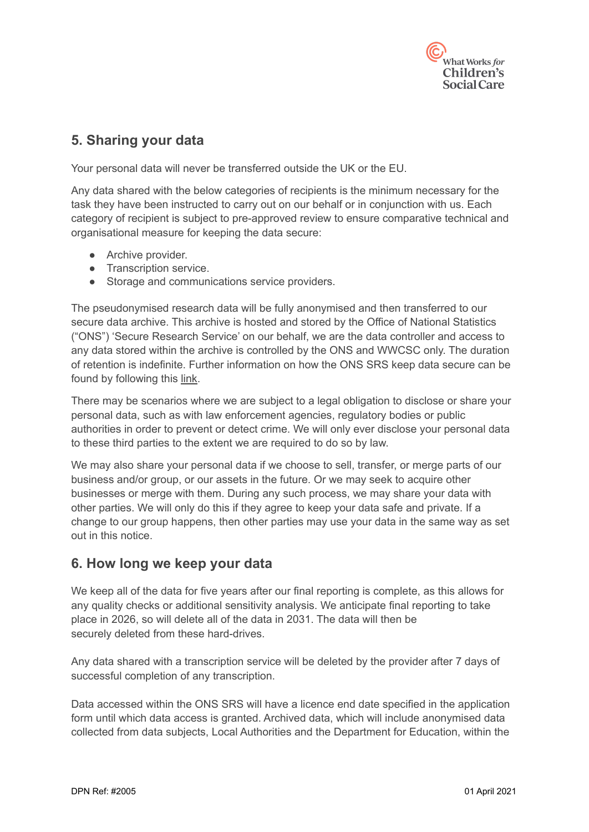

# **5. Sharing your data**

Your personal data will never be transferred outside the UK or the EU.

Any data shared with the below categories of recipients is the minimum necessary for the task they have been instructed to carry out on our behalf or in conjunction with us. Each category of recipient is subject to pre-approved review to ensure comparative technical and organisational measure for keeping the data secure:

- Archive provider.
- Transcription service.
- Storage and communications service providers.

The pseudonymised research data will be fully anonymised and then transferred to our secure data archive. This archive is hosted and stored by the Office of National Statistics ("ONS") 'Secure Research Service' on our behalf, we are the data controller and access to any data stored within the archive is controlled by the ONS and WWCSC only. The duration of retention is indefinite. Further information on how the ONS SRS keep data secure can be found by following this [link.](https://www.ons.gov.uk/aboutus/whatwedo/statistics/requestingstatistics/approvedresearcherscheme#:~:text=The%20Office%20for%20National%20Statistics,projects%20for%20the%20public%20good.&text=The%20framework%20is%20a%20set,secure%20labs%2C%20including%20the%20ONS.)

There may be scenarios where we are subject to a legal obligation to disclose or share your personal data, such as with law enforcement agencies, regulatory bodies or public authorities in order to prevent or detect crime. We will only ever disclose your personal data to these third parties to the extent we are required to do so by law.

We may also share your personal data if we choose to sell, transfer, or merge parts of our business and/or group, or our assets in the future. Or we may seek to acquire other businesses or merge with them. During any such process, we may share your data with other parties. We will only do this if they agree to keep your data safe and private. If a change to our group happens, then other parties may use your data in the same way as set out in this notice.

# **6. How long we keep your data**

We keep all of the data for five years after our final reporting is complete, as this allows for any quality checks or additional sensitivity analysis. We anticipate final reporting to take place in 2026, so will delete all of the data in 2031. The data will then be securely deleted from these hard-drives.

Any data shared with a transcription service will be deleted by the provider after 7 days of successful completion of any transcription.

Data accessed within the ONS SRS will have a licence end date specified in the application form until which data access is granted. Archived data, which will include anonymised data collected from data subjects, Local Authorities and the Department for Education, within the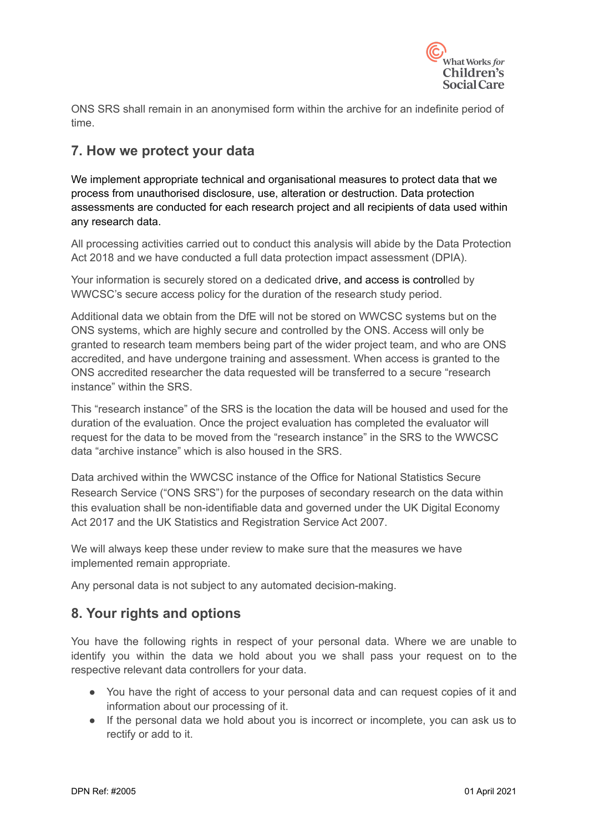

ONS SRS shall remain in an anonymised form within the archive for an indefinite period of time.

# **7. How we protect your data**

We implement appropriate technical and organisational measures to protect data that we process from unauthorised disclosure, use, alteration or destruction. Data protection assessments are conducted for each research project and all recipients of data used within any research data.

All processing activities carried out to conduct this analysis will abide by the Data Protection Act 2018 and we have conducted a full data protection impact assessment (DPIA).

Your information is securely stored on a dedicated drive, and access is controlled by WWCSC's secure access policy for the duration of the research study period.

Additional data we obtain from the DfE will not be stored on WWCSC systems but on the ONS systems, which are highly secure and controlled by the ONS. Access will only be granted to research team members being part of the wider project team, and who are ONS accredited, and have undergone training and assessment. When access is granted to the ONS accredited researcher the data requested will be transferred to a secure "research instance" within the SRS.

This "research instance" of the SRS is the location the data will be housed and used for the duration of the evaluation. Once the project evaluation has completed the evaluator will request for the data to be moved from the "research instance" in the SRS to the WWCSC data "archive instance" which is also housed in the SRS.

Data archived within the WWCSC instance of the Office for National Statistics Secure Research Service ("ONS SRS") for the purposes of secondary research on the data within this evaluation shall be non-identifiable data and governed under the UK Digital Economy Act 2017 and the UK Statistics and Registration Service Act 2007.

We will always keep these under review to make sure that the measures we have implemented remain appropriate.

Any personal data is not subject to any automated decision-making.

# **8. Your rights and options**

You have the following rights in respect of your personal data. Where we are unable to identify you within the data we hold about you we shall pass your request on to the respective relevant data controllers for your data.

- You have the right of access to your personal data and can request copies of it and information about our processing of it.
- If the personal data we hold about you is incorrect or incomplete, you can ask us to rectify or add to it.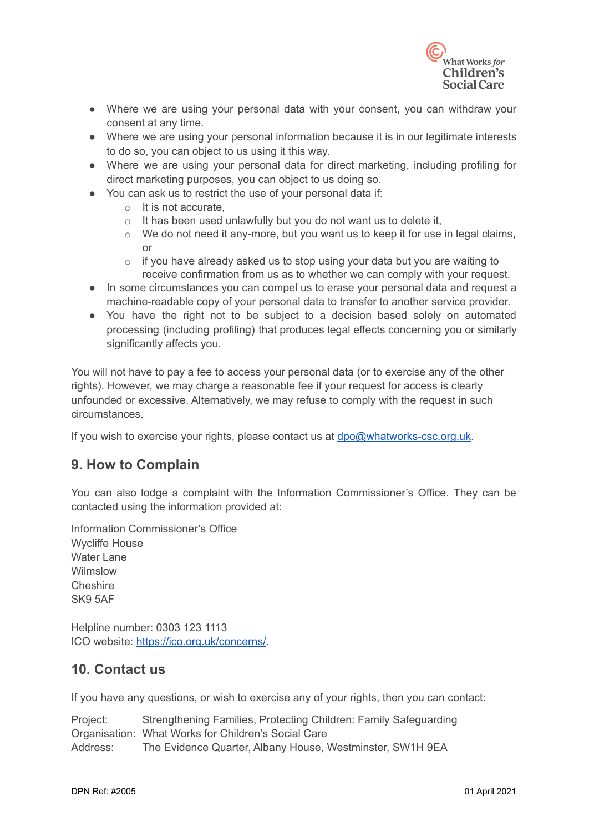

- Where we are using your personal data with your consent, you can withdraw your consent at any time.
- Where we are using your personal information because it is in our legitimate interests to do so, you can object to us using it this way.
- Where we are using your personal data for direct marketing, including profiling for direct marketing purposes, you can object to us doing so.
- You can ask us to restrict the use of your personal data if:
	- o It is not accurate,
	- $\circ$  It has been used unlawfully but you do not want us to delete it,
	- $\circ$  We do not need it any-more, but you want us to keep it for use in legal claims, or
	- o if you have already asked us to stop using your data but you are waiting to receive confirmation from us as to whether we can comply with your request.
- In some circumstances you can compel us to erase your personal data and request a machine-readable copy of your personal data to transfer to another service provider.
- You have the right not to be subject to a decision based solely on automated processing (including profiling) that produces legal effects concerning you or similarly significantly affects you.

You will not have to pay a fee to access your personal data (or to exercise any of the other rights). However, we may charge a reasonable fee if your request for access is clearly unfounded or excessive. Alternatively, we may refuse to comply with the request in such circumstances.

If you wish to exercise your rights, please contact us at [dpo@whatworks-csc.org.uk.](mailto:dpo@whatworks-csc.org.uk)

# **9. How to Complain**

You can also lodge a complaint with the Information Commissioner's Office. They can be contacted using the information provided at:

Information Commissioner's Office Wycliffe House Water Lane Wilmslow Cheshire SK9 5AF

Helpline number: 0303 123 1113 ICO website: <https://ico.org.uk/concerns/>.

# **10. Contact us**

If you have any questions, or wish to exercise any of your rights, then you can contact:

Project: Strengthening Families, Protecting Children: Family Safeguarding Organisation: What Works for Children's Social Care Address: The Evidence Quarter, Albany House, Westminster, SW1H 9EA